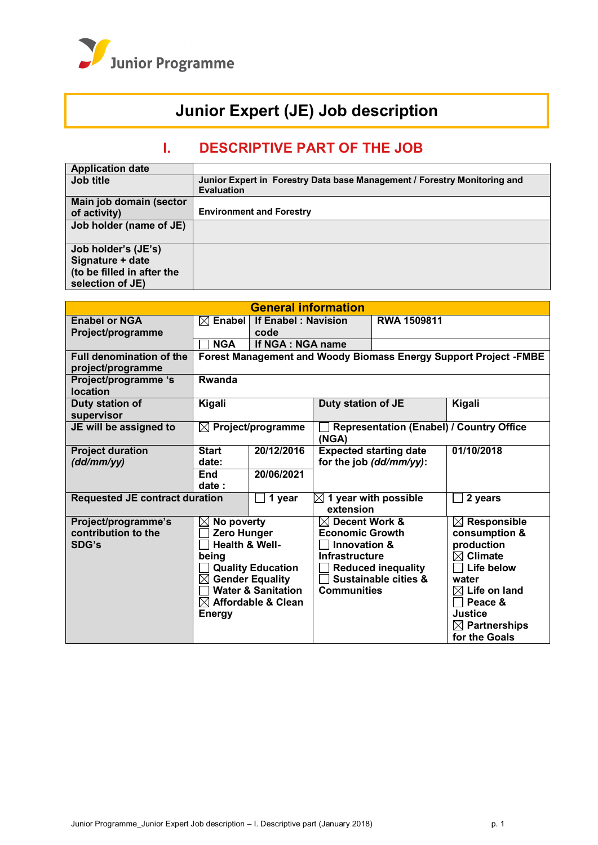

# **Junior Expert (JE) Job description**

# **I. DESCRIPTIVE PART OF THE JOB**

| Junior Expert in Forestry Data base Management / Forestry Monitoring and |
|--------------------------------------------------------------------------|
| <b>Evaluation</b>                                                        |
|                                                                          |
| <b>Environment and Forestry</b>                                          |
|                                                                          |
|                                                                          |
|                                                                          |
|                                                                          |
|                                                                          |
|                                                                          |
|                                                                          |

| <b>General information</b>              |                                                                                |                                                                 |                                               |                                          |                                                                  |  |
|-----------------------------------------|--------------------------------------------------------------------------------|-----------------------------------------------------------------|-----------------------------------------------|------------------------------------------|------------------------------------------------------------------|--|
| <b>Enabel or NGA</b>                    | <b>Enabel</b><br><b>If Enabel: Navision</b><br><b>RWA 1509811</b><br>$\bowtie$ |                                                                 |                                               |                                          |                                                                  |  |
| Project/programme                       |                                                                                | code                                                            |                                               |                                          |                                                                  |  |
|                                         | <b>NGA</b>                                                                     | If NGA : NGA name                                               |                                               |                                          |                                                                  |  |
| <b>Full denomination of the</b>         |                                                                                |                                                                 |                                               |                                          | Forest Management and Woody Biomass Energy Support Project -FMBE |  |
| project/programme                       |                                                                                |                                                                 |                                               |                                          |                                                                  |  |
| Project/programme 's<br><b>location</b> | Rwanda                                                                         |                                                                 |                                               |                                          |                                                                  |  |
| Duty station of<br>supervisor           | Kigali                                                                         |                                                                 | <b>Duty station of JE</b>                     |                                          | Kigali                                                           |  |
| JE will be assigned to                  | $\boxtimes$                                                                    | Project/programme<br>(NGA)                                      |                                               | Representation (Enabel) / Country Office |                                                                  |  |
| <b>Project duration</b>                 | <b>Start</b>                                                                   | 20/12/2016                                                      |                                               | <b>Expected starting date</b>            | 01/10/2018                                                       |  |
| (dd/mm/yy)                              | date:                                                                          |                                                                 |                                               | for the job (dd/mm/yy):                  |                                                                  |  |
|                                         | <b>End</b>                                                                     | 20/06/2021                                                      |                                               |                                          |                                                                  |  |
|                                         | date:                                                                          |                                                                 |                                               |                                          |                                                                  |  |
| <b>Requested JE contract duration</b>   |                                                                                | 1 year                                                          | $\boxtimes$ 1 year with possible<br>extension |                                          | 2 years                                                          |  |
| Project/programme's                     | No poverty<br>$\boxtimes$                                                      |                                                                 | $\boxtimes$ Decent Work &                     |                                          | $\boxtimes$ Responsible                                          |  |
| contribution to the                     |                                                                                | Zero Hunger                                                     |                                               | <b>Economic Growth</b><br>consumption &  |                                                                  |  |
| SDG's                                   | <b>Health &amp; Well-</b>                                                      |                                                                 | production<br>Innovation &                    |                                          |                                                                  |  |
|                                         | being                                                                          |                                                                 | <b>Infrastructure</b>                         |                                          | $\boxtimes$ Climate                                              |  |
|                                         |                                                                                | <b>Quality Education</b>                                        | <b>Reduced inequality</b><br>Life below       |                                          |                                                                  |  |
|                                         | $\bowtie$                                                                      | <b>Gender Equality</b>                                          |                                               | <b>Sustainable cities &amp;</b>          | water                                                            |  |
|                                         |                                                                                | <b>Water &amp; Sanitation</b><br>$\boxtimes$ Affordable & Clean | <b>Communities</b>                            |                                          | $\boxtimes$ Life on land<br>Peace &                              |  |
|                                         | <b>Energy</b>                                                                  |                                                                 |                                               |                                          | Justice                                                          |  |
|                                         |                                                                                |                                                                 |                                               |                                          | $\boxtimes$ Partnerships                                         |  |
|                                         |                                                                                |                                                                 |                                               |                                          | for the Goals                                                    |  |
|                                         |                                                                                |                                                                 |                                               |                                          |                                                                  |  |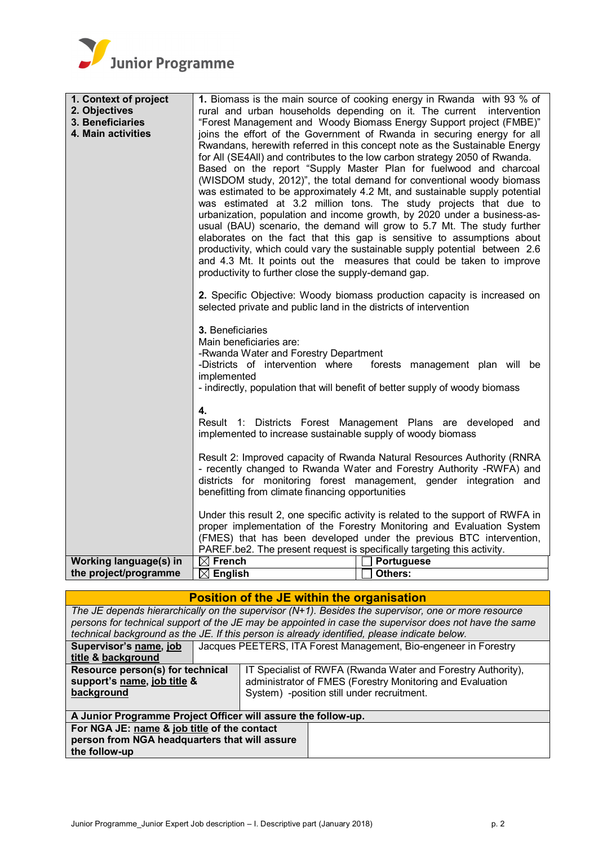

| 1. Context of project         |                                                                                                                                                                                                                                                                                                                                                                                                                                                                                                                                                                                                                                                                                                                                                                                                                                                                                                                                                                                         | 1. Biomass is the main source of cooking energy in Rwanda with 93 % of                                                                                                                                                           |  |  |  |
|-------------------------------|-----------------------------------------------------------------------------------------------------------------------------------------------------------------------------------------------------------------------------------------------------------------------------------------------------------------------------------------------------------------------------------------------------------------------------------------------------------------------------------------------------------------------------------------------------------------------------------------------------------------------------------------------------------------------------------------------------------------------------------------------------------------------------------------------------------------------------------------------------------------------------------------------------------------------------------------------------------------------------------------|----------------------------------------------------------------------------------------------------------------------------------------------------------------------------------------------------------------------------------|--|--|--|
| 2. Objectives                 | rural and urban households depending on it. The current intervention                                                                                                                                                                                                                                                                                                                                                                                                                                                                                                                                                                                                                                                                                                                                                                                                                                                                                                                    |                                                                                                                                                                                                                                  |  |  |  |
| 3. Beneficiaries              | "Forest Management and Woody Biomass Energy Support project (FMBE)"                                                                                                                                                                                                                                                                                                                                                                                                                                                                                                                                                                                                                                                                                                                                                                                                                                                                                                                     |                                                                                                                                                                                                                                  |  |  |  |
| 4. Main activities            | joins the effort of the Government of Rwanda in securing energy for all<br>Rwandans, herewith referred in this concept note as the Sustainable Energy<br>for All (SE4All) and contributes to the low carbon strategy 2050 of Rwanda.<br>Based on the report "Supply Master Plan for fuelwood and charcoal<br>(WISDOM study, 2012)", the total demand for conventional woody biomass<br>was estimated to be approximately 4.2 Mt, and sustainable supply potential<br>was estimated at 3.2 million tons. The study projects that due to<br>urbanization, population and income growth, by 2020 under a business-as-<br>usual (BAU) scenario, the demand will grow to 5.7 Mt. The study further<br>elaborates on the fact that this gap is sensitive to assumptions about<br>productivity, which could vary the sustainable supply potential between 2.6<br>and 4.3 Mt. It points out the measures that could be taken to improve<br>productivity to further close the supply-demand gap. |                                                                                                                                                                                                                                  |  |  |  |
|                               | 2. Specific Objective: Woody biomass production capacity is increased on<br>selected private and public land in the districts of intervention                                                                                                                                                                                                                                                                                                                                                                                                                                                                                                                                                                                                                                                                                                                                                                                                                                           |                                                                                                                                                                                                                                  |  |  |  |
|                               | 3. Beneficiaries<br>Main beneficiaries are:<br>-Rwanda Water and Forestry Department<br>-Districts of intervention where<br>implemented                                                                                                                                                                                                                                                                                                                                                                                                                                                                                                                                                                                                                                                                                                                                                                                                                                                 | forests management plan will be<br>- indirectly, population that will benefit of better supply of woody biomass                                                                                                                  |  |  |  |
|                               | 4.<br>Result 1: Districts Forest Management Plans are developed<br>and<br>implemented to increase sustainable supply of woody biomass                                                                                                                                                                                                                                                                                                                                                                                                                                                                                                                                                                                                                                                                                                                                                                                                                                                   |                                                                                                                                                                                                                                  |  |  |  |
|                               | Result 2: Improved capacity of Rwanda Natural Resources Authority (RNRA<br>- recently changed to Rwanda Water and Forestry Authority -RWFA) and<br>districts for monitoring forest management, gender integration and<br>benefitting from climate financing opportunities                                                                                                                                                                                                                                                                                                                                                                                                                                                                                                                                                                                                                                                                                                               |                                                                                                                                                                                                                                  |  |  |  |
|                               | PAREF.be2. The present request is specifically targeting this activity.                                                                                                                                                                                                                                                                                                                                                                                                                                                                                                                                                                                                                                                                                                                                                                                                                                                                                                                 | Under this result 2, one specific activity is related to the support of RWFA in<br>proper implementation of the Forestry Monitoring and Evaluation System<br>(FMES) that has been developed under the previous BTC intervention, |  |  |  |
| <b>Working language(s) in</b> | $\boxtimes$ French                                                                                                                                                                                                                                                                                                                                                                                                                                                                                                                                                                                                                                                                                                                                                                                                                                                                                                                                                                      | <b>Portuguese</b>                                                                                                                                                                                                                |  |  |  |
| the project/programme         | $\boxtimes$<br><b>English</b>                                                                                                                                                                                                                                                                                                                                                                                                                                                                                                                                                                                                                                                                                                                                                                                                                                                                                                                                                           | Others:                                                                                                                                                                                                                          |  |  |  |

| <b>Position of the JE within the organisation</b>                                        |  |                                            |                                                                                                        |  |  |
|------------------------------------------------------------------------------------------|--|--------------------------------------------|--------------------------------------------------------------------------------------------------------|--|--|
|                                                                                          |  |                                            | The JE depends hierarchically on the supervisor $(N+1)$ . Besides the supervisor, one or more resource |  |  |
|                                                                                          |  |                                            | persons for technical support of the JE may be appointed in case the supervisor does not have the same |  |  |
|                                                                                          |  |                                            | technical background as the JE. If this person is already identified, please indicate below.           |  |  |
| Supervisor's name, job                                                                   |  |                                            | Jacques PEETERS, ITA Forest Management, Bio-engeneer in Forestry                                       |  |  |
| title & background                                                                       |  |                                            |                                                                                                        |  |  |
| Resource person(s) for technical                                                         |  |                                            | IT Specialist of RWFA (Rwanda Water and Forestry Authority),                                           |  |  |
| support's name, job title &<br>administrator of FMES (Forestry Monitoring and Evaluation |  |                                            |                                                                                                        |  |  |
| background                                                                               |  | System) -position still under recruitment. |                                                                                                        |  |  |
|                                                                                          |  |                                            |                                                                                                        |  |  |
| A Junior Programme Project Officer will assure the follow-up.                            |  |                                            |                                                                                                        |  |  |
| For NGA JE: name & job title of the contact                                              |  |                                            |                                                                                                        |  |  |
| person from NGA headquarters that will assure                                            |  |                                            |                                                                                                        |  |  |
| the follow-up                                                                            |  |                                            |                                                                                                        |  |  |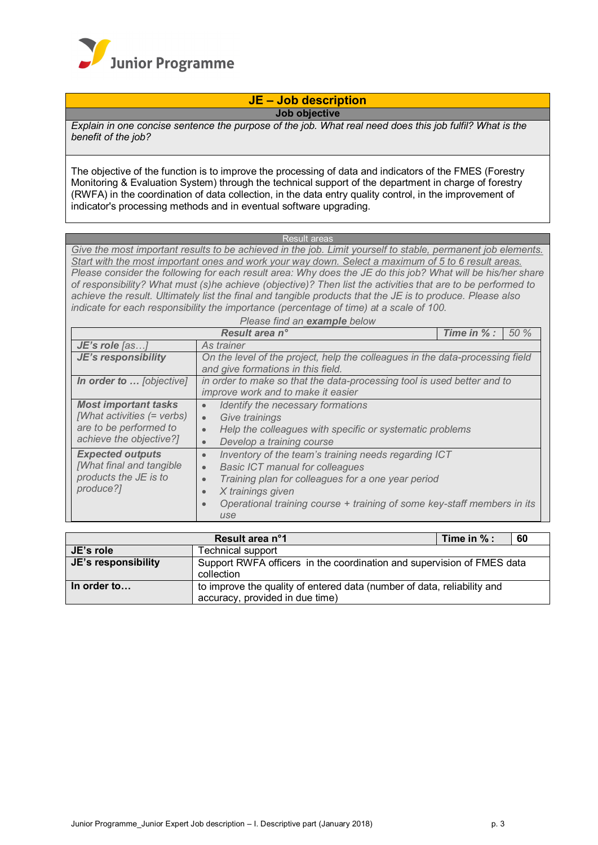

## **JE – Job description**

**Job objective**

*Explain in one concise sentence the purpose of the job. What real need does this job fulfil? What is the benefit of the job?*

The objective of the function is to improve the processing of data and indicators of the FMES (Forestry Monitoring & Evaluation System) through the technical support of the department in charge of forestry (RWFA) in the coordination of data collection, in the data entry quality control, in the improvement of indicator's processing methods and in eventual software upgrading.

Result areas

*Give the most important results to be achieved in the job. Limit yourself to stable, permanent job elements. Start with the most important ones and work your way down. Select a maximum of 5 to 6 result areas. Please consider the following for each result area: Why does the JE do this job? What will be his/her share of responsibility? What must (s)he achieve (objective)? Then list the activities that are to be performed to achieve the result. Ultimately list the final and tangible products that the JE is to produce. Please also indicate for each responsibility the importance (percentage of time) at a scale of 100.*

*Please find an example below*

|                                                                                                                | Result area n°                                                                                                                                                                                                                                                                                                               | Time in % : | 50% |  |
|----------------------------------------------------------------------------------------------------------------|------------------------------------------------------------------------------------------------------------------------------------------------------------------------------------------------------------------------------------------------------------------------------------------------------------------------------|-------------|-----|--|
| JE's role [as]                                                                                                 | As trainer                                                                                                                                                                                                                                                                                                                   |             |     |  |
| JE's responsibility                                                                                            | On the level of the project, help the colleagues in the data-processing field<br>and give formations in this field.                                                                                                                                                                                                          |             |     |  |
| In order to  [objective]                                                                                       | in order to make so that the data-processing tool is used better and to<br>improve work and to make it easier                                                                                                                                                                                                                |             |     |  |
| <b>Most important tasks</b><br>[What activities (= verbs)<br>are to be performed to<br>achieve the objective?] | Identify the necessary formations<br>$\bullet$<br>Give trainings<br>$\bullet$<br>Help the colleagues with specific or systematic problems<br>$\bullet$<br>Develop a training course<br>$\bullet$                                                                                                                             |             |     |  |
| <b>Expected outputs</b><br>[What final and tangible<br>products the JE is to<br>produce?]                      | Inventory of the team's training needs regarding ICT<br>$\bullet$<br><b>Basic ICT manual for colleagues</b><br>$\bullet$<br>Training plan for colleagues for a one year period<br>$\bullet$<br>X trainings given<br>$\bullet$<br>Operational training course + training of some key-staff members in its<br>$\bullet$<br>use |             |     |  |

| Result area n°1     |                                                                                                            | Time in $%$ : | - 60 |
|---------------------|------------------------------------------------------------------------------------------------------------|---------------|------|
| JE's role           | <b>Technical support</b>                                                                                   |               |      |
| JE's responsibility | Support RWFA officers in the coordination and supervision of FMES data<br>collection                       |               |      |
| In order to         | to improve the quality of entered data (number of data, reliability and<br>accuracy, provided in due time) |               |      |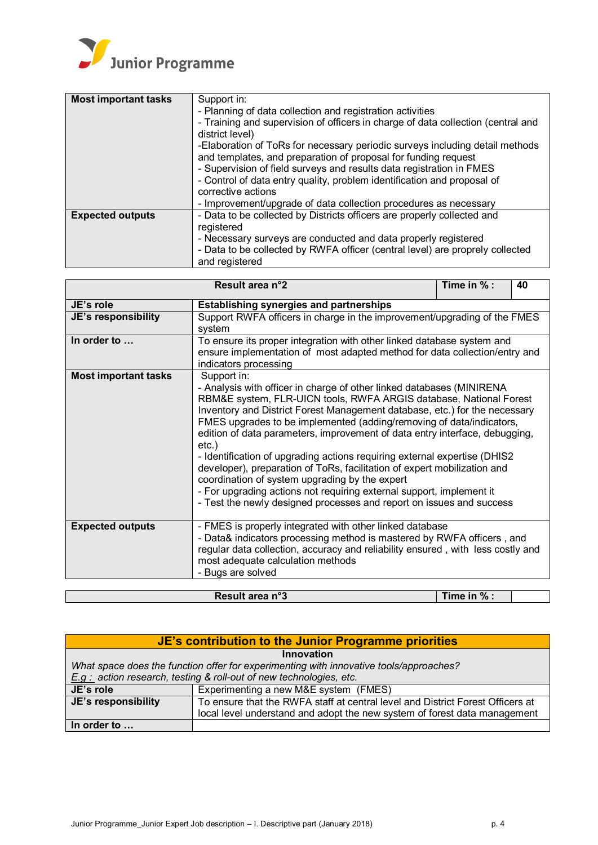

| <b>Most important tasks</b> | Support in:                                                                                                                                    |  |  |  |  |
|-----------------------------|------------------------------------------------------------------------------------------------------------------------------------------------|--|--|--|--|
|                             | - Planning of data collection and registration activities                                                                                      |  |  |  |  |
|                             | - Training and supervision of officers in charge of data collection (central and<br>district level)                                            |  |  |  |  |
|                             | -Elaboration of ToRs for necessary periodic surveys including detail methods<br>and templates, and preparation of proposal for funding request |  |  |  |  |
|                             | - Supervision of field surveys and results data registration in FMES                                                                           |  |  |  |  |
|                             | - Control of data entry quality, problem identification and proposal of                                                                        |  |  |  |  |
|                             | corrective actions                                                                                                                             |  |  |  |  |
|                             | - Improvement/upgrade of data collection procedures as necessary                                                                               |  |  |  |  |
| <b>Expected outputs</b>     | - Data to be collected by Districts officers are properly collected and                                                                        |  |  |  |  |
|                             | registered                                                                                                                                     |  |  |  |  |
|                             | - Necessary surveys are conducted and data properly registered                                                                                 |  |  |  |  |
|                             | - Data to be collected by RWFA officer (central level) are proprely collected<br>and registered                                                |  |  |  |  |

|                                | Time in % :<br>Result area n°2<br>40                                                                                                                                                                                                                                                                                                                                                                                                                                                                                                                                                                                                                                                                                                                                   |  |  |  |  |
|--------------------------------|------------------------------------------------------------------------------------------------------------------------------------------------------------------------------------------------------------------------------------------------------------------------------------------------------------------------------------------------------------------------------------------------------------------------------------------------------------------------------------------------------------------------------------------------------------------------------------------------------------------------------------------------------------------------------------------------------------------------------------------------------------------------|--|--|--|--|
| JE's role                      | <b>Establishing synergies and partnerships</b>                                                                                                                                                                                                                                                                                                                                                                                                                                                                                                                                                                                                                                                                                                                         |  |  |  |  |
| JE's responsibility            | Support RWFA officers in charge in the improvement/upgrading of the FMES<br>system                                                                                                                                                                                                                                                                                                                                                                                                                                                                                                                                                                                                                                                                                     |  |  |  |  |
| In order to                    | To ensure its proper integration with other linked database system and<br>ensure implementation of most adapted method for data collection/entry and<br>indicators processing                                                                                                                                                                                                                                                                                                                                                                                                                                                                                                                                                                                          |  |  |  |  |
| <b>Most important tasks</b>    | Support in:<br>- Analysis with officer in charge of other linked databases (MINIRENA<br>RBM&E system, FLR-UICN tools, RWFA ARGIS database, National Forest<br>Inventory and District Forest Management database, etc.) for the necessary<br>FMES upgrades to be implemented (adding/removing of data/indicators,<br>edition of data parameters, improvement of data entry interface, debugging,<br>$etc.$ )<br>- Identification of upgrading actions requiring external expertise (DHIS2<br>developer), preparation of ToRs, facilitation of expert mobilization and<br>coordination of system upgrading by the expert<br>- For upgrading actions not requiring external support, implement it<br>- Test the newly designed processes and report on issues and success |  |  |  |  |
| <b>Expected outputs</b>        | - FMES is properly integrated with other linked database<br>- Data& indicators processing method is mastered by RWFA officers, and<br>regular data collection, accuracy and reliability ensured, with less costly and<br>most adequate calculation methods<br>- Bugs are solved                                                                                                                                                                                                                                                                                                                                                                                                                                                                                        |  |  |  |  |
| Result area n°3<br>Time in % : |                                                                                                                                                                                                                                                                                                                                                                                                                                                                                                                                                                                                                                                                                                                                                                        |  |  |  |  |

| JE's contribution to the Junior Programme priorities                                   |                                                                                |  |  |  |  |
|----------------------------------------------------------------------------------------|--------------------------------------------------------------------------------|--|--|--|--|
| Innovation                                                                             |                                                                                |  |  |  |  |
| What space does the function offer for experimenting with innovative tools/approaches? |                                                                                |  |  |  |  |
| $E.g.$ action research, testing & roll-out of new technologies, etc.                   |                                                                                |  |  |  |  |
| JE's role                                                                              | Experimenting a new M&E system (FMES)                                          |  |  |  |  |
| JE's responsibility                                                                    | To ensure that the RWFA staff at central level and District Forest Officers at |  |  |  |  |
| local level understand and adopt the new system of forest data management              |                                                                                |  |  |  |  |
| In order to                                                                            |                                                                                |  |  |  |  |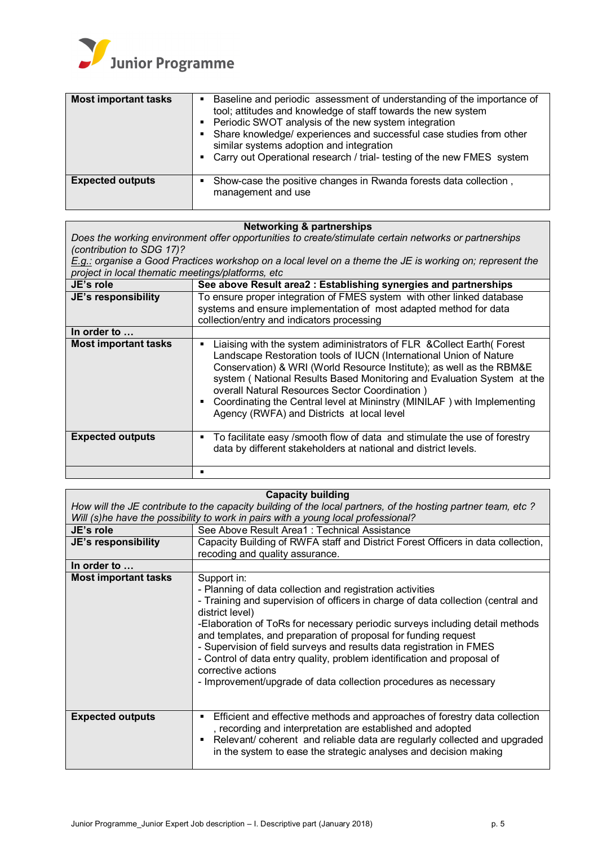

| <b>Most important tasks</b> | • Baseline and periodic assessment of understanding of the importance of<br>tool; attitudes and knowledge of staff towards the new system<br>• Periodic SWOT analysis of the new system integration<br>• Share knowledge/ experiences and successful case studies from other<br>similar systems adoption and integration<br>• Carry out Operational research / trial- testing of the new FMES system |
|-----------------------------|------------------------------------------------------------------------------------------------------------------------------------------------------------------------------------------------------------------------------------------------------------------------------------------------------------------------------------------------------------------------------------------------------|
| <b>Expected outputs</b>     | Show-case the positive changes in Rwanda forests data collection,<br>$\blacksquare$<br>management and use                                                                                                                                                                                                                                                                                            |

#### **Networking & partnerships**

*Does the working environment offer opportunities to create/stimulate certain networks or partnerships (contribution to SDG 17)?*

*E.g.: organise a Good Practices workshop on a local level on a theme the JE is working on; represent the project in local thematic meetings/platforms, etc*

|                             | project in 1998, thomatic modellige planenme, oto                                                                                                                                                                                                                                                                                                                                                                                                                          |  |  |  |
|-----------------------------|----------------------------------------------------------------------------------------------------------------------------------------------------------------------------------------------------------------------------------------------------------------------------------------------------------------------------------------------------------------------------------------------------------------------------------------------------------------------------|--|--|--|
| JE's role                   | See above Result area2 : Establishing synergies and partnerships                                                                                                                                                                                                                                                                                                                                                                                                           |  |  |  |
| JE's responsibility         | To ensure proper integration of FMES system with other linked database<br>systems and ensure implementation of most adapted method for data<br>collection/entry and indicators processing                                                                                                                                                                                                                                                                                  |  |  |  |
| In order to                 |                                                                                                                                                                                                                                                                                                                                                                                                                                                                            |  |  |  |
| <b>Most important tasks</b> | Liaising with the system adiministrators of FLR & Collect Earth (Forest<br>Landscape Restoration tools of IUCN (International Union of Nature<br>Conservation) & WRI (World Resource Institute); as well as the RBM&E<br>system (National Results Based Monitoring and Evaluation System at the<br>overall Natural Resources Sector Coordination)<br>Coordinating the Central level at Mininstry (MINILAF) with Implementing<br>Agency (RWFA) and Districts at local level |  |  |  |
| <b>Expected outputs</b>     | To facilitate easy /smooth flow of data and stimulate the use of forestry<br>data by different stakeholders at national and district levels.                                                                                                                                                                                                                                                                                                                               |  |  |  |
|                             | п                                                                                                                                                                                                                                                                                                                                                                                                                                                                          |  |  |  |

### **Capacity building**

*How will the JE contribute to the capacity building of the local partners, of the hosting partner team, etc ? Will (s)he have the possibility to work in pairs with a young local professional?* **JE's role** See Above Result Area1 : Technical Assistance **JE's responsibility** Capacity Building of RWFA staff and District Forest Officers in data collection, recoding and quality assurance. **In order to … Most important tasks** Support in: - Planning of data collection and registration activities - Training and supervision of officers in charge of data collection (central and district level) -Elaboration of ToRs for necessary periodic surveys including detail methods and templates, and preparation of proposal for funding request - Supervision of field surveys and results data registration in FMES - Control of data entry quality, problem identification and proposal of corrective actions - Improvement/upgrade of data collection procedures as necessary **Expected outputs Efficient and effective methods and approaches of forestry data collection** , recording and interpretation are established and adopted ■ Relevant/ coherent and reliable data are regularly collected and upgraded in the system to ease the strategic analyses and decision making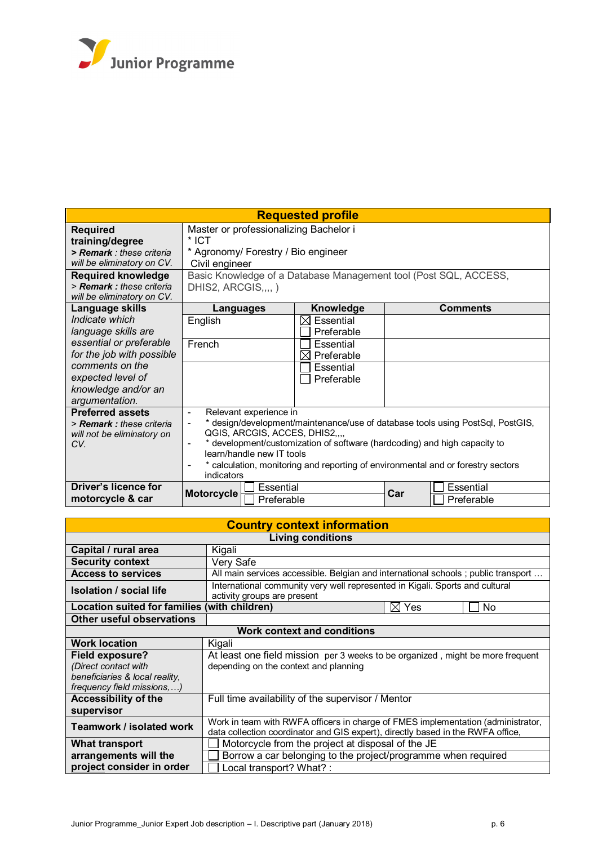

| <b>Requested profile</b>                                                                                                                                                            |                                                                                                                                                                                                                                                                                                                                                        |                                     |  |                 |  |
|-------------------------------------------------------------------------------------------------------------------------------------------------------------------------------------|--------------------------------------------------------------------------------------------------------------------------------------------------------------------------------------------------------------------------------------------------------------------------------------------------------------------------------------------------------|-------------------------------------|--|-----------------|--|
| <b>Required</b><br>training/degree<br>> Remark: these criteria<br>will be eliminatory on CV.<br><b>Required knowledge</b><br>> Remark: these criteria<br>will be eliminatory on CV. | Master or professionalizing Bachelor i<br>* ICT<br>* Agronomy/ Forestry / Bio engineer<br>Civil engineer<br>Basic Knowledge of a Database Management tool (Post SQL, ACCESS,<br>DHIS2, ARCGIS,,,,)                                                                                                                                                     |                                     |  |                 |  |
| Language skills                                                                                                                                                                     | Languages                                                                                                                                                                                                                                                                                                                                              | Knowledge                           |  | <b>Comments</b> |  |
| Indicate which<br>language skills are                                                                                                                                               | English                                                                                                                                                                                                                                                                                                                                                | Essential<br>IХI<br>Preferable      |  |                 |  |
| essential or preferable<br>for the job with possible                                                                                                                                | French                                                                                                                                                                                                                                                                                                                                                 | Essential<br>$\boxtimes$ Preferable |  |                 |  |
| comments on the<br>expected level of<br>knowledge and/or an<br>argumentation.                                                                                                       |                                                                                                                                                                                                                                                                                                                                                        | Essential<br>Preferable             |  |                 |  |
| <b>Preferred assets</b><br>> Remark: these criteria<br>will not be eliminatory on<br>CV.                                                                                            | Relevant experience in<br>* design/development/maintenance/use of database tools using PostSql, PostGIS,<br>QGIS, ARCGIS, ACCES, DHIS2,,,,<br>* development/customization of software (hardcoding) and high capacity to<br>learn/handle new IT tools<br>* calculation, monitoring and reporting of environmental and or forestry sectors<br>indicators |                                     |  |                 |  |
| Driver's licence for<br>motorcycle & car                                                                                                                                            | Essential<br>Essential<br>Car<br><b>Motorcycle</b><br>Preferable<br>Preferable                                                                                                                                                                                                                                                                         |                                     |  |                 |  |

| <b>Country context information</b>           |                                                                                                             |           |    |
|----------------------------------------------|-------------------------------------------------------------------------------------------------------------|-----------|----|
| <b>Living conditions</b>                     |                                                                                                             |           |    |
| Capital / rural area                         | Kigali                                                                                                      |           |    |
| <b>Security context</b>                      | Very Safe                                                                                                   |           |    |
| <b>Access to services</b>                    | All main services accessible. Belgian and international schools; public transport                           |           |    |
| <b>Isolation / social life</b>               | International community very well represented in Kigali. Sports and cultural<br>activity groups are present |           |    |
| Location suited for families (with children) |                                                                                                             | Yes<br>IХ | No |
| Other useful observations                    |                                                                                                             |           |    |
| <b>Work context and conditions</b>           |                                                                                                             |           |    |
| <b>Work location</b>                         | Kigali                                                                                                      |           |    |
| Field exposure?                              | At least one field mission per 3 weeks to be organized, might be more frequent                              |           |    |
| (Direct contact with                         | depending on the context and planning                                                                       |           |    |
| beneficiaries & local reality,               |                                                                                                             |           |    |
| frequency field missions, )                  |                                                                                                             |           |    |
| <b>Accessibility of the</b>                  | Full time availability of the supervisor / Mentor                                                           |           |    |
| supervisor                                   |                                                                                                             |           |    |
| Teamwork / isolated work                     | Work in team with RWFA officers in charge of FMES implementation (administrator,                            |           |    |
|                                              | data collection coordinator and GIS expert), directly based in the RWFA office,                             |           |    |
| <b>What transport</b>                        | Motorcycle from the project at disposal of the JE                                                           |           |    |
| arrangements will the                        | Borrow a car belonging to the project/programme when required                                               |           |    |
| project consider in order                    | Local transport? What? :                                                                                    |           |    |